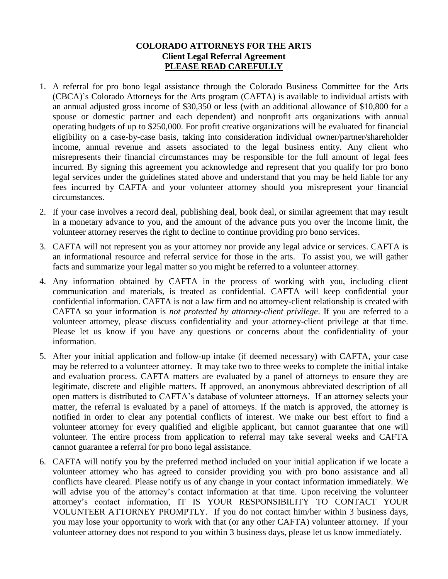## **COLORADO ATTORNEYS FOR THE ARTS Client Legal Referral Agreement PLEASE READ CAREFULLY**

- 1. A referral for pro bono legal assistance through the Colorado Business Committee for the Arts (CBCA)'s Colorado Attorneys for the Arts program (CAFTA) is available to individual artists with an annual adjusted gross income of \$30,350 or less (with an additional allowance of \$10,800 for a spouse or domestic partner and each dependent) and nonprofit arts organizations with annual operating budgets of up to \$250,000. For profit creative organizations will be evaluated for financial eligibility on a case-by-case basis, taking into consideration individual owner/partner/shareholder income, annual revenue and assets associated to the legal business entity. Any client who misrepresents their financial circumstances may be responsible for the full amount of legal fees incurred. By signing this agreement you acknowledge and represent that you qualify for pro bono legal services under the guidelines stated above and understand that you may be held liable for any fees incurred by CAFTA and your volunteer attorney should you misrepresent your financial circumstances.
- 2. If your case involves a record deal, publishing deal, book deal, or similar agreement that may result in a monetary advance to you, and the amount of the advance puts you over the income limit, the volunteer attorney reserves the right to decline to continue providing pro bono services.
- 3. CAFTA will not represent you as your attorney nor provide any legal advice or services. CAFTA is an informational resource and referral service for those in the arts. To assist you, we will gather facts and summarize your legal matter so you might be referred to a volunteer attorney.
- 4. Any information obtained by CAFTA in the process of working with you, including client communication and materials, is treated as confidential. CAFTA will keep confidential your confidential information. CAFTA is not a law firm and no attorney-client relationship is created with CAFTA so your information is *not protected by attorney-client privilege*. If you are referred to a volunteer attorney, please discuss confidentiality and your attorney-client privilege at that time. Please let us know if you have any questions or concerns about the confidentiality of your information.
- 5. After your initial application and follow-up intake (if deemed necessary) with CAFTA, your case may be referred to a volunteer attorney. It may take two to three weeks to complete the initial intake and evaluation process. CAFTA matters are evaluated by a panel of attorneys to ensure they are legitimate, discrete and eligible matters. If approved, an anonymous abbreviated description of all open matters is distributed to CAFTA's database of volunteer attorneys. If an attorney selects your matter, the referral is evaluated by a panel of attorneys. If the match is approved, the attorney is notified in order to clear any potential conflicts of interest. We make our best effort to find a volunteer attorney for every qualified and eligible applicant, but cannot guarantee that one will volunteer. The entire process from application to referral may take several weeks and CAFTA cannot guarantee a referral for pro bono legal assistance.
- 6. CAFTA will notify you by the preferred method included on your initial application if we locate a volunteer attorney who has agreed to consider providing you with pro bono assistance and all conflicts have cleared. Please notify us of any change in your contact information immediately. We will advise you of the attorney's contact information at that time. Upon receiving the volunteer attorney's contact information, IT IS YOUR RESPONSIBILITY TO CONTACT YOUR VOLUNTEER ATTORNEY PROMPTLY. If you do not contact him/her within 3 business days, you may lose your opportunity to work with that (or any other CAFTA) volunteer attorney. If your volunteer attorney does not respond to you within 3 business days, please let us know immediately.